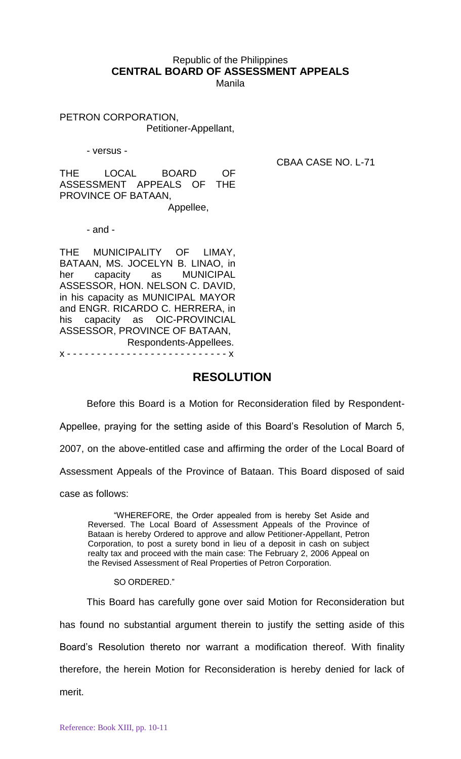## Republic of the Philippines **CENTRAL BOARD OF ASSESSMENT APPEALS**

Manila

PETRON CORPORATION, Petitioner-Appellant,

- versus -

CBAA CASE NO. L-71

THE LOCAL BOARD OF ASSESSMENT APPEALS OF THE PROVINCE OF BATAAN, Appellee,

- and -

THE MUNICIPALITY OF LIMAY, BATAAN, MS. JOCELYN B. LINAO, in her capacity as MUNICIPAL ASSESSOR, HON. NELSON C. DAVID, in his capacity as MUNICIPAL MAYOR and ENGR. RICARDO C. HERRERA, in his capacity as OIC-PROVINCIAL ASSESSOR, PROVINCE OF BATAAN, Respondents-Appellees. x - - - - - - - - - - - - - - - - - - - - - - - - - - - x

## **RESOLUTION**

Before this Board is a Motion for Reconsideration filed by Respondent-Appellee, praying for the setting aside of this Board's Resolution of March 5, 2007, on the above-entitled case and affirming the order of the Local Board of Assessment Appeals of the Province of Bataan. This Board disposed of said case as follows:

"WHEREFORE, the Order appealed from is hereby Set Aside and Reversed. The Local Board of Assessment Appeals of the Province of Bataan is hereby Ordered to approve and allow Petitioner-Appellant, Petron Corporation, to post a surety bond in lieu of a deposit in cash on subject realty tax and proceed with the main case: The February 2, 2006 Appeal on the Revised Assessment of Real Properties of Petron Corporation.

SO ORDERED."

This Board has carefully gone over said Motion for Reconsideration but has found no substantial argument therein to justify the setting aside of this Board's Resolution thereto nor warrant a modification thereof. With finality therefore, the herein Motion for Reconsideration is hereby denied for lack of merit.